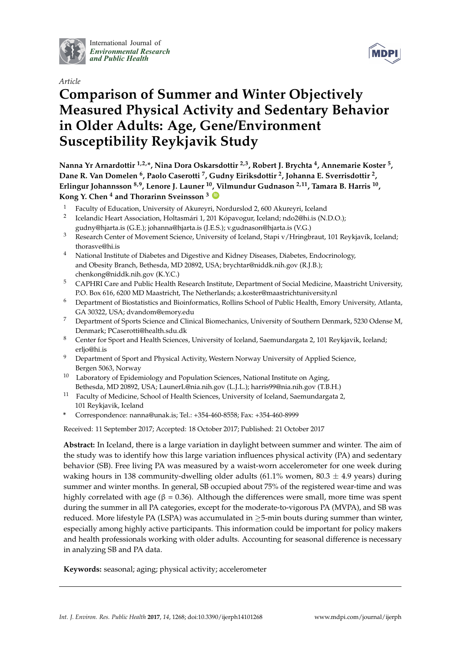

International Journal of *[Environmental Research](http://www.mdpi.com/journal/ijerph) and Public Health*





# **Comparison of Summer and Winter Objectively Measured Physical Activity and Sedentary Behavior in Older Adults: Age, Gene/Environment Susceptibility Reykjavik Study**

**Nanna Yr Arnardottir 1,2,\*, Nina Dora Oskarsdottir 2,3, Robert J. Brychta <sup>4</sup> , Annemarie Koster <sup>5</sup> , Dane R. Van Domelen <sup>6</sup> , Paolo Caserotti <sup>7</sup> , Gudny Eiriksdottir <sup>2</sup> , Johanna E. Sverrisdottir <sup>2</sup> , Erlingur Johannsson 8,9, Lenore J. Launer <sup>10</sup>, Vilmundur Gudnason 2,11, Tamara B. Harris <sup>10</sup> , Kong Y. Chen <sup>4</sup> and Thorarinn Sveinsson <sup>3</sup> [ID](https://orcid.org/0000-0001-8989-5514)**

- <sup>1</sup> Faculty of Education, University of Akureyri, Nordurslod 2, 600 Akureyri, Iceland
- 2 Icelandic Heart Association, Holtasmári 1, 201 Kópavogur, Iceland; ndo2@hi.is (N.D.O.); gudny@hjarta.is (G.E.); johanna@hjarta.is (J.E.S.); v.gudnason@hjarta.is (V.G.)
- <sup>3</sup> Research Center of Movement Science, University of Iceland, Stapi v/Hringbraut, 101 Reykjavík, Iceland; thorasve@hi.is
- <sup>4</sup> National Institute of Diabetes and Digestive and Kidney Diseases, Diabetes, Endocrinology, and Obesity Branch, Bethesda, MD 20892, USA; brychtar@niddk.nih.gov (R.J.B.); chenkong@niddk.nih.gov (K.Y.C.)
- <sup>5</sup> CAPHRI Care and Public Health Research Institute, Department of Social Medicine, Maastricht University, P.O. Box 616, 6200 MD Maastricht, The Netherlands; a.koster@maastrichtuniversity.nl
- <sup>6</sup> Department of Biostatistics and Bioinformatics, Rollins School of Public Health, Emory University, Atlanta, GA 30322, USA; dvandom@emory.edu
- <sup>7</sup> Department of Sports Science and Clinical Biomechanics, University of Southern Denmark, 5230 Odense M, Denmark; PCaserotti@health.sdu.dk
- <sup>8</sup> Center for Sport and Health Sciences, University of Iceland, Saemundargata 2, 101 Reykjavik, Iceland; erljo@hi.is
- <sup>9</sup> Department of Sport and Physical Activity, Western Norway University of Applied Science, Bergen 5063, Norway
- $10$  Laboratory of Epidemiology and Population Sciences, National Institute on Aging, Bethesda, MD 20892, USA; LaunerL@nia.nih.gov (L.J.L.); harris99@nia.nih.gov (T.B.H.)
- <sup>11</sup> Faculty of Medicine, School of Health Sciences, University of Iceland, Saemundargata 2, 101 Reykjavik, Iceland
- **\*** Correspondence: nanna@unak.is; Tel.: +354-460-8558; Fax: +354-460-8999

Received: 11 September 2017; Accepted: 18 October 2017; Published: 21 October 2017

**Abstract:** In Iceland, there is a large variation in daylight between summer and winter. The aim of the study was to identify how this large variation influences physical activity (PA) and sedentary behavior (SB). Free living PA was measured by a waist-worn accelerometer for one week during waking hours in 138 community-dwelling older adults (61.1% women, 80.3  $\pm$  4.9 years) during summer and winter months. In general, SB occupied about 75% of the registered wear-time and was highly correlated with age (β = 0.36). Although the differences were small, more time was spent during the summer in all PA categories, except for the moderate-to-vigorous PA (MVPA), and SB was reduced. More lifestyle PA (LSPA) was accumulated in  $\geq$ 5-min bouts during summer than winter, especially among highly active participants. This information could be important for policy makers and health professionals working with older adults. Accounting for seasonal difference is necessary in analyzing SB and PA data.

**Keywords:** seasonal; aging; physical activity; accelerometer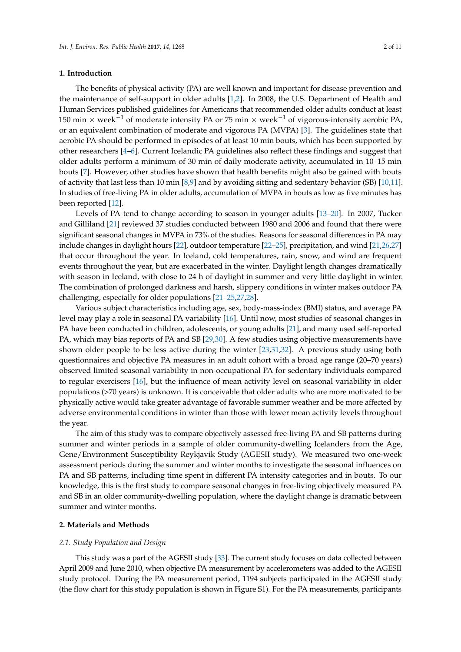## **1. Introduction**

The benefits of physical activity (PA) are well known and important for disease prevention and the maintenance of self-support in older adults [\[1](#page-7-0)[,2\]](#page-7-1). In 2008, the U.S. Department of Health and Human Services published guidelines for Americans that recommended older adults conduct at least 150 min × week<sup>-1</sup> of moderate intensity PA or 75 min × week<sup>-1</sup> of vigorous-intensity aerobic PA, or an equivalent combination of moderate and vigorous PA (MVPA) [\[3\]](#page-7-2). The guidelines state that aerobic PA should be performed in episodes of at least 10 min bouts, which has been supported by other researchers [\[4](#page-8-0)[–6\]](#page-8-1). Current Icelandic PA guidelines also reflect these findings and suggest that older adults perform a minimum of 30 min of daily moderate activity, accumulated in 10–15 min bouts [\[7\]](#page-8-2). However, other studies have shown that health benefits might also be gained with bouts of activity that last less than 10 min [\[8](#page-8-3)[,9\]](#page-8-4) and by avoiding sitting and sedentary behavior (SB) [\[10,](#page-8-5)[11\]](#page-8-6). In studies of free-living PA in older adults, accumulation of MVPA in bouts as low as five minutes has been reported [\[12\]](#page-8-7).

Levels of PA tend to change according to season in younger adults [\[13](#page-8-8)[–20\]](#page-8-9). In 2007, Tucker and Gilliland [\[21\]](#page-8-10) reviewed 37 studies conducted between 1980 and 2006 and found that there were significant seasonal changes in MVPA in 73% of the studies. Reasons for seasonal differences in PA may include changes in daylight hours [\[22\]](#page-8-11), outdoor temperature [\[22](#page-8-11)[–25\]](#page-9-0), precipitation, and wind [\[21,](#page-8-10)[26,](#page-9-1)[27\]](#page-9-2) that occur throughout the year. In Iceland, cold temperatures, rain, snow, and wind are frequent events throughout the year, but are exacerbated in the winter. Daylight length changes dramatically with season in Iceland, with close to 24 h of daylight in summer and very little daylight in winter. The combination of prolonged darkness and harsh, slippery conditions in winter makes outdoor PA challenging, especially for older populations [\[21](#page-8-10)[–25,](#page-9-0)[27,](#page-9-2)[28\]](#page-9-3).

Various subject characteristics including age, sex, body-mass-index (BMI) status, and average PA level may play a role in seasonal PA variability [\[16\]](#page-8-12). Until now, most studies of seasonal changes in PA have been conducted in children, adolescents, or young adults [\[21\]](#page-8-10), and many used self-reported PA, which may bias reports of PA and SB [\[29,](#page-9-4)[30\]](#page-9-5). A few studies using objective measurements have shown older people to be less active during the winter [\[23](#page-8-13)[,31](#page-9-6)[,32\]](#page-9-7). A previous study using both questionnaires and objective PA measures in an adult cohort with a broad age range (20–70 years) observed limited seasonal variability in non-occupational PA for sedentary individuals compared to regular exercisers [\[16\]](#page-8-12), but the influence of mean activity level on seasonal variability in older populations (>70 years) is unknown. It is conceivable that older adults who are more motivated to be physically active would take greater advantage of favorable summer weather and be more affected by adverse environmental conditions in winter than those with lower mean activity levels throughout the year.

The aim of this study was to compare objectively assessed free-living PA and SB patterns during summer and winter periods in a sample of older community-dwelling Icelanders from the Age, Gene/Environment Susceptibility Reykjavik Study (AGESII study). We measured two one-week assessment periods during the summer and winter months to investigate the seasonal influences on PA and SB patterns, including time spent in different PA intensity categories and in bouts. To our knowledge, this is the first study to compare seasonal changes in free-living objectively measured PA and SB in an older community-dwelling population, where the daylight change is dramatic between summer and winter months.

# **2. Materials and Methods**

#### *2.1. Study Population and Design*

This study was a part of the AGESII study [\[33\]](#page-9-8). The current study focuses on data collected between April 2009 and June 2010, when objective PA measurement by accelerometers was added to the AGESII study protocol. During the PA measurement period, 1194 subjects participated in the AGESII study (the flow chart for this study population is shown in Figure S1). For the PA measurements, participants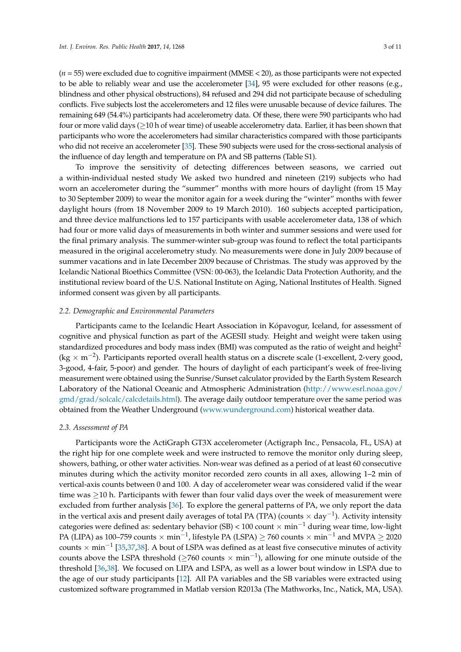(*n* = 55) were excluded due to cognitive impairment (MMSE < 20), as those participants were not expected to be able to reliably wear and use the accelerometer [\[34\]](#page-9-9), 95 were excluded for other reasons (e.g., blindness and other physical obstructions), 84 refused and 294 did not participate because of scheduling conflicts. Five subjects lost the accelerometers and 12 files were unusable because of device failures. The remaining 649 (54.4%) participants had accelerometry data. Of these, there were 590 participants who had four or more valid days ( $\geq$ 10 h of wear time) of useable accelerometry data. Earlier, it has been shown that participants who wore the accelerometers had similar characteristics compared with those participants who did not receive an accelerometer [\[35\]](#page-9-10). These 590 subjects were used for the cross-sectional analysis of the influence of day length and temperature on PA and SB patterns (Table S1).

To improve the sensitivity of detecting differences between seasons, we carried out a within-individual nested study We asked two hundred and nineteen (219) subjects who had worn an accelerometer during the "summer" months with more hours of daylight (from 15 May to 30 September 2009) to wear the monitor again for a week during the "winter" months with fewer daylight hours (from 18 November 2009 to 19 March 2010). 160 subjects accepted participation, and three device malfunctions led to 157 participants with usable accelerometer data, 138 of which had four or more valid days of measurements in both winter and summer sessions and were used for the final primary analysis. The summer-winter sub-group was found to reflect the total participants measured in the original accelerometry study. No measurements were done in July 2009 because of summer vacations and in late December 2009 because of Christmas. The study was approved by the Icelandic National Bioethics Committee (VSN: 00-063), the Icelandic Data Protection Authority, and the institutional review board of the U.S. National Institute on Aging, National Institutes of Health. Signed informed consent was given by all participants.

#### *2.2. Demographic and Environmental Parameters*

Participants came to the Icelandic Heart Association in Kópavogur, Iceland, for assessment of cognitive and physical function as part of the AGESII study. Height and weight were taken using standardized procedures and body mass index (BMI) was computed as the ratio of weight and height<sup>2</sup> (kg  $\times$  m<sup>-2</sup>). Participants reported overall health status on a discrete scale (1-excellent, 2-very good, 3-good, 4-fair, 5-poor) and gender. The hours of daylight of each participant's week of free-living measurement were obtained using the Sunrise/Sunset calculator provided by the Earth System Research Laboratory of the National Oceanic and Atmospheric Administration [\(http://www.esrl.noaa.gov/](http://www.esrl.noaa.gov/gmd/grad/solcalc/calcdetails.html) [gmd/grad/solcalc/calcdetails.html\)](http://www.esrl.noaa.gov/gmd/grad/solcalc/calcdetails.html). The average daily outdoor temperature over the same period was obtained from the Weather Underground [\(www.wunderground.com\)](www.wunderground.com) historical weather data.

#### *2.3. Assessment of PA*

Participants wore the ActiGraph GT3X accelerometer (Actigraph Inc., Pensacola, FL, USA) at the right hip for one complete week and were instructed to remove the monitor only during sleep, showers, bathing, or other water activities. Non-wear was defined as a period of at least 60 consecutive minutes during which the activity monitor recorded zero counts in all axes, allowing 1–2 min of vertical-axis counts between 0 and 100. A day of accelerometer wear was considered valid if the wear time was  $\geq$ 10 h. Participants with fewer than four valid days over the week of measurement were excluded from further analysis [\[36\]](#page-9-11). To explore the general patterns of PA, we only report the data in the vertical axis and present daily averages of total PA (TPA) (counts  $\times$  day<sup>-1</sup>). Activity intensity categories were defined as: sedentary behavior (SB) < 100 count × min−<sup>1</sup> during wear time, low-light PA (LIPA) as 100–759 counts  $\times$  min $^{-1}$ , lifestyle PA (LSPA)  $\geq$  760 counts  $\times$  min $^{-1}$  and MVPA  $\geq$  2020 counts  $\times$  min<sup>-1</sup> [\[35,](#page-9-10)[37,](#page-9-12)[38\]](#page-9-13). A bout of LSPA was defined as at least five consecutive minutes of activity counts above the LSPA threshold ( $\geq$ 760 counts  $\times$  min<sup>-1</sup>), allowing for one minute outside of the threshold [\[36,](#page-9-11)[38\]](#page-9-13). We focused on LIPA and LSPA, as well as a lower bout window in LSPA due to the age of our study participants [\[12\]](#page-8-7). All PA variables and the SB variables were extracted using customized software programmed in Matlab version R2013a (The Mathworks, Inc., Natick, MA, USA).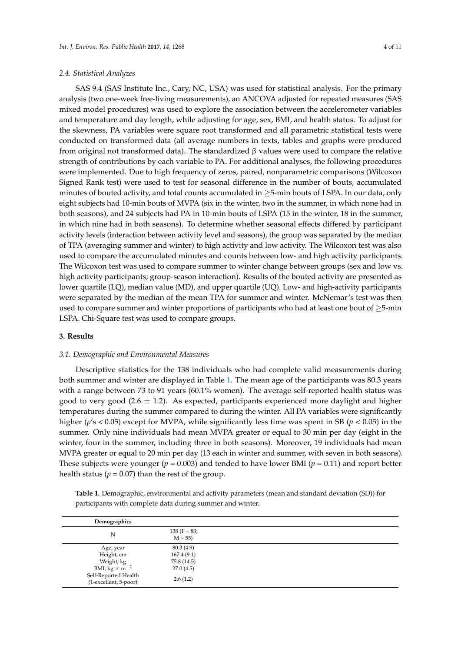# *2.4. Statistical Analyzes*

SAS 9.4 (SAS Institute Inc., Cary, NC, USA) was used for statistical analysis. For the primary analysis (two one-week free-living measurements), an ANCOVA adjusted for repeated measures (SAS mixed model procedures) was used to explore the association between the accelerometer variables and temperature and day length, while adjusting for age, sex, BMI, and health status. To adjust for the skewness, PA variables were square root transformed and all parametric statistical tests were conducted on transformed data (all average numbers in texts, tables and graphs were produced from original not transformed data). The standardized β values were used to compare the relative strength of contributions by each variable to PA. For additional analyses, the following procedures were implemented. Due to high frequency of zeros, paired, nonparametric comparisons (Wilcoxon Signed Rank test) were used to test for seasonal difference in the number of bouts, accumulated minutes of bouted activity, and total counts accumulated in  $\geq$ 5-min bouts of LSPA. In our data, only eight subjects had 10-min bouts of MVPA (six in the winter, two in the summer, in which none had in both seasons), and 24 subjects had PA in 10-min bouts of LSPA (15 in the winter, 18 in the summer, in which nine had in both seasons). To determine whether seasonal effects differed by participant activity levels (interaction between activity level and seasons), the group was separated by the median of TPA (averaging summer and winter) to high activity and low activity. The Wilcoxon test was also used to compare the accumulated minutes and counts between low- and high activity participants. The Wilcoxon test was used to compare summer to winter change between groups (sex and low vs. high activity participants; group-season interaction). Results of the bouted activity are presented as lower quartile (LQ), median value (MD), and upper quartile (UQ). Low- and high-activity participants were separated by the median of the mean TPA for summer and winter. McNemar's test was then used to compare summer and winter proportions of participants who had at least one bout of  $\geq$ 5-min LSPA. Chi-Square test was used to compare groups.

#### **3. Results**

# *3.1. Demographic and Environmental Measures*

Descriptive statistics for the 138 individuals who had complete valid measurements during both summer and winter are displayed in Table [1.](#page-4-0) The mean age of the participants was 80.3 years with a range between 73 to 91 years (60.1% women). The average self-reported health status was good to very good (2.6  $\pm$  1.2). As expected, participants experienced more daylight and higher temperatures during the summer compared to during the winter. All PA variables were significantly higher (*p*'s < 0.05) except for MVPA, while significantly less time was spent in SB (*p* < 0.05) in the summer. Only nine individuals had mean MVPA greater or equal to 30 min per day (eight in the winter, four in the summer, including three in both seasons). Moreover, 19 individuals had mean MVPA greater or equal to 20 min per day (13 each in winter and summer, with seven in both seasons). These subjects were younger ( $p = 0.003$ ) and tended to have lower BMI ( $p = 0.11$ ) and report better health status ( $p = 0.07$ ) than the rest of the group.

**Table 1.** Demographic, environmental and activity parameters (mean and standard deviation (SD)) for participants with complete data during summer and winter.

| Demographics                                                                                                                    |                                                                  |  |
|---------------------------------------------------------------------------------------------------------------------------------|------------------------------------------------------------------|--|
| N                                                                                                                               | $138 (F = 83;$<br>$M = 55$                                       |  |
| Age, year<br>Height, cm<br>Weight, kg<br>BMI, $\text{kg} \times \text{m}^{-2}$<br>Self-Reported Health<br>(1-excellent, 5-poor) | 80.3 (4.9)<br>167.4(9.1)<br>75.8 (14.5)<br>27.0(4.5)<br>2.6(1.2) |  |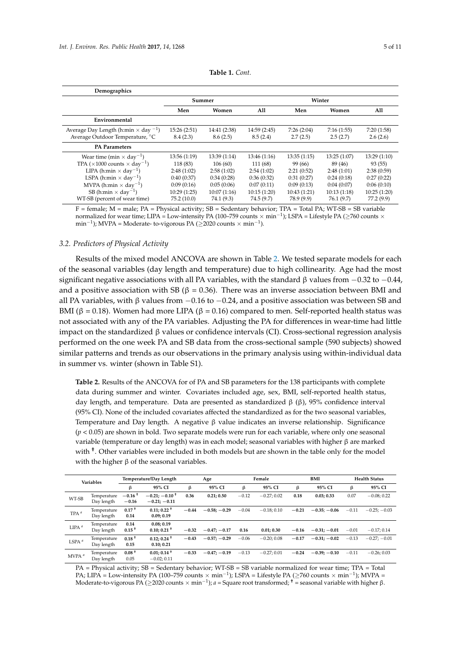<span id="page-4-0"></span>

| Demographics                                            |              |              |              |             |             |             |  |
|---------------------------------------------------------|--------------|--------------|--------------|-------------|-------------|-------------|--|
|                                                         |              | Summer       | Winter       |             |             |             |  |
|                                                         | Men<br>Women |              |              | Men         | All         |             |  |
| Environmental                                           |              |              |              |             |             |             |  |
| Average Day Length (h:min $\times$ day $^{-1}$ )        | 15:26(2:51)  | 14:41 (2:38) | 14:59 (2:45) | 7:26(2:04)  | 7:16(1:55)  | 7:20(1:58)  |  |
| Average Outdoor Temperature, °C                         | 8.4(2.3)     | 8.6(2.5)     | 8.5(2.4)     | 2.7(2.5)    | 2.5(2.7)    | 2.6(2.6)    |  |
| <b>PA Parameters</b>                                    |              |              |              |             |             |             |  |
| Wear time (min $\times$ day <sup>-1</sup> )             | 13:56(1:19)  | 13:39(1:14)  | 13:46(1:16)  | 13:35(1:15) | 13:25(1:07) | 13:29(1:10) |  |
| TPA ( $\times$ 1000 counts $\times$ day <sup>-1</sup> ) | 118 (83)     | 106(60)      | 111 (68)     | 99 (66)     | 89 (46)     | 93(55)      |  |
| LIPA (h:min $\times$ day <sup>-1</sup> )                | 2:48(1:02)   | 2:58(1:02)   | 2:54(1:02)   | 2:21(0:52)  | 2:48(1:01)  | 2:38(0:59)  |  |
| LSPA (h:min $\times$ day <sup>-1</sup> )                | 0:40(0:37)   | 0:34(0:28)   | 0:36(0:32)   | 0:31(0:27)  | 0:24(0:18)  | 0:27(0:22)  |  |
| MVPA (h:min $\times$ day <sup>-1</sup> )                | 0:09(0:16)   | 0:05(0:06)   | 0:07(0:11)   | 0:09(0:13)  | 0:04(0:07)  | 0:06(0:10)  |  |
| SB (h:min $\times$ day <sup>-1</sup> )                  | 10:29(1:25)  | 10:07(1:16)  | 10:15(1:20)  | 10:43(1:21) | 10:13(1:18) | 10:25(1:20) |  |
| WT-SB (percent of wear time)                            | 75.2(10.0)   | 74.1 (9.3)   | 74.5 (9.7)   | 78.9 (9.9)  | 76.1 (9.7)  | 77.2 (9.9)  |  |

**Table 1.** *Cont.*

 $F =$  female;  $M =$  male;  $PA =$  Physical activity;  $SB =$  Sedentary behavior;  $TPA =$  Total  $PA$ ;  $WT-SB =$  SB variable normalized for wear time; LIPA = Low-intensity PA (100–759 counts × min−<sup>1</sup> ); LSPA = Lifestyle PA (≥760 counts ×  $\min^{-1}$ ); MVPA = Moderate- to-vigorous PA ( $\geq$ 2020 counts  $\times$   $\min^{-1}$ ).

# *3.2. Predictors of Physical Activity*

Results of the mixed model ANCOVA are shown in Table [2.](#page-4-1) We tested separate models for each of the seasonal variables (day length and temperature) due to high collinearity. Age had the most significant negative associations with all PA variables, with the standard  $\beta$  values from  $-0.32$  to  $-0.44$ , and a positive association with SB ( $\beta$  = 0.36). There was an inverse association between BMI and all PA variables, with β values from  $-0.16$  to  $-0.24$ , and a positive association was between SB and BMI (β = 0.18). Women had more LIPA (β = 0.16) compared to men. Self-reported health status was not associated with any of the PA variables. Adjusting the PA for differences in wear-time had little impact on the standardized  $\beta$  values or confidence intervals (CI). Cross-sectional regression analysis performed on the one week PA and SB data from the cross-sectional sample (590 subjects) showed similar patterns and trends as our observations in the primary analysis using within-individual data in summer vs. winter (shown in Table S1).

<span id="page-4-1"></span>**Table 2.** Results of the ANCOVA for of PA and SB parameters for the 138 participants with complete data during summer and winter. Covariates included age, sex, BMI, self-reported health status, day length, and temperature. Data are presented as standardized  $β (β)$ , 95% confidence interval (95% CI). None of the included covariates affected the standardized as for the two seasonal variables, Temperature and Day length. A negative  $\beta$  value indicates an inverse relationship. Significance (*p* < 0.05) are shown in bold. Two separate models were run for each variable, where only one seasonal variable (temperature or day length) was in each model; seasonal variables with higher β are marked with **†** . Other variables were included in both models but are shown in the table only for the model with the higher  $\beta$  of the seasonal variables.

| <b>Variables</b>  |                           | Temperature/Day Length |                                               | Age     |                | Female  |              | BMI     |                | <b>Health Status</b> |                |
|-------------------|---------------------------|------------------------|-----------------------------------------------|---------|----------------|---------|--------------|---------|----------------|----------------------|----------------|
|                   |                           | β                      | 95% CI                                        | ß       | 95% CI         | β       | 95% CI       | β       | 95% CI         | β                    | 95% CI         |
| WT-SB             | Temperature<br>Day length | $-0.16 +$<br>$-0.16$   | $-0.21: -0.10$ <sup>+</sup><br>$-0.21; -0.11$ | 0.36    | 0.21; 0.50     | $-0.12$ | $-0.27:0.02$ | 0.18    | 0.03; 0.33     | 0.07                 | $-0.08:0.22$   |
| TPA <sup>a</sup>  | Temperature<br>Day length | $0.17+$<br>0.14        | $0.11; 0.22$ <sup>+</sup><br>0.09; 0.19       | $-0.44$ | $-0.58; -0.29$ | $-0.04$ | $-0.18:0.10$ | $-0.21$ | $-0.35: -0.06$ | $-0.11$              | $-0.25: -0.03$ |
| LIPA <sup>a</sup> | Temperature<br>Day length | 0.14<br>$0.15 +$       | 0.08:0.19<br>$0.10; 0.21$ <sup>+</sup>        | $-0.32$ | $-0.47:-0.17$  | 0.16    | 0.01:0.30    | $-0.16$ | $-0.31: -0.01$ | $-0.01$              | $-0.17:0.14$   |
| LSPA <sup>a</sup> | Temperature<br>Day length | $0.18 +$<br>0.15       | $0.12:0.24$ <sup>+</sup><br>0.10; 0.21        | $-0.43$ | $-0.57; -0.29$ | $-0.06$ | $-0.20:0.08$ | $-0.17$ | $-0.31: -0.02$ | $-0.13$              | $-0.27: -0.01$ |
| MVPA <sup>a</sup> | Temperature<br>Day length | $0.08+$<br>0.05        | $0.01; 0.14$ <sup>+</sup><br>$-0.02:0.11$     | $-0.33$ | $-0.47; -0.19$ | $-0.13$ | $-0.27:0.01$ | $-0.24$ | $-0.39: -0.10$ | $-0.11$              | $-0.26:0.03$   |

PA = Physical activity; SB = Sedentary behavior; WT-SB = SB variable normalized for wear time; TPA = Total PA; LIPA = Low-intensity PA (100–759 counts × min<sup>-1</sup>); LSPA = Lifestyle PA (≥760 counts × min<sup>-1</sup>); MVPA = Moderate-to-vigorous PA (≥2020 counts × min−<sup>1</sup> ); *a* = Square root transformed; **†** = seasonal variable with higher β.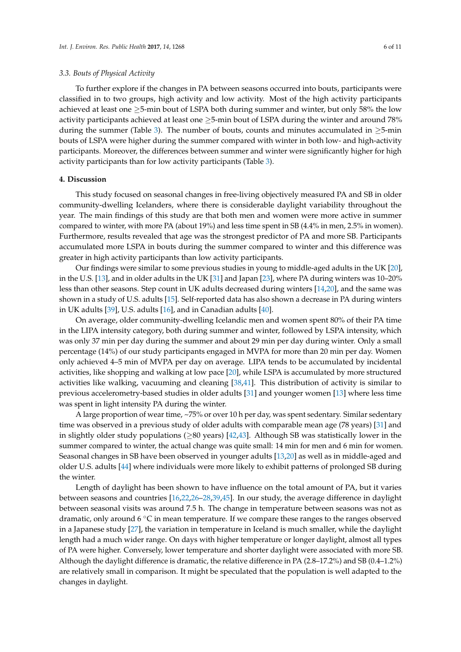*3.3. Bouts of Physical Activity*

To further explore if the changes in PA between seasons occurred into bouts, participants were classified in to two groups, high activity and low activity. Most of the high activity participants achieved at least one  $\geq$ 5-min bout of LSPA both during summer and winter, but only 58% the low activity participants achieved at least one  $\geq$ 5-min bout of LSPA during the winter and around 78% during the summer (Table [3\)](#page-6-0). The number of bouts, counts and minutes accumulated in  $\geq$ 5-min bouts of LSPA were higher during the summer compared with winter in both low- and high-activity participants. Moreover, the differences between summer and winter were significantly higher for high activity participants than for low activity participants (Table [3\)](#page-6-0).

#### **4. Discussion**

This study focused on seasonal changes in free-living objectively measured PA and SB in older community-dwelling Icelanders, where there is considerable daylight variability throughout the year. The main findings of this study are that both men and women were more active in summer compared to winter, with more PA (about 19%) and less time spent in SB (4.4% in men, 2.5% in women). Furthermore, results revealed that age was the strongest predictor of PA and more SB. Participants accumulated more LSPA in bouts during the summer compared to winter and this difference was greater in high activity participants than low activity participants.

Our findings were similar to some previous studies in young to middle-aged adults in the UK [\[20\]](#page-8-9), in the U.S. [\[13\]](#page-8-8), and in older adults in the UK [\[31\]](#page-9-6) and Japan [\[23\]](#page-8-13), where PA during winters was 10–20% less than other seasons. Step count in UK adults decreased during winters [\[14](#page-8-14)[,20\]](#page-8-9), and the same was shown in a study of U.S. adults [\[15\]](#page-8-15). Self-reported data has also shown a decrease in PA during winters in UK adults [\[39\]](#page-9-14), U.S. adults [\[16\]](#page-8-12), and in Canadian adults [\[40\]](#page-9-15).

On average, older community-dwelling Icelandic men and women spent 80% of their PA time in the LIPA intensity category, both during summer and winter, followed by LSPA intensity, which was only 37 min per day during the summer and about 29 min per day during winter. Only a small percentage (14%) of our study participants engaged in MVPA for more than 20 min per day. Women only achieved 4–5 min of MVPA per day on average. LIPA tends to be accumulated by incidental activities, like shopping and walking at low pace [\[20\]](#page-8-9), while LSPA is accumulated by more structured activities like walking, vacuuming and cleaning [\[38,](#page-9-13)[41\]](#page-9-16). This distribution of activity is similar to previous accelerometry-based studies in older adults [\[31\]](#page-9-6) and younger women [\[13\]](#page-8-8) where less time was spent in light intensity PA during the winter.

A large proportion of wear time, ~75% or over 10 h per day, was spent sedentary. Similar sedentary time was observed in a previous study of older adults with comparable mean age (78 years) [\[31\]](#page-9-6) and in slightly older study populations ( $\geq$ 80 years) [\[42,](#page-9-17)[43\]](#page-9-18). Although SB was statistically lower in the summer compared to winter, the actual change was quite small: 14 min for men and 6 min for women. Seasonal changes in SB have been observed in younger adults [\[13](#page-8-8)[,20\]](#page-8-9) as well as in middle-aged and older U.S. adults [\[44\]](#page-10-0) where individuals were more likely to exhibit patterns of prolonged SB during the winter.

Length of daylight has been shown to have influence on the total amount of PA, but it varies between seasons and countries [\[16](#page-8-12)[,22](#page-8-11)[,26–](#page-9-1)[28](#page-9-3)[,39](#page-9-14)[,45\]](#page-10-1). In our study, the average difference in daylight between seasonal visits was around 7.5 h. The change in temperature between seasons was not as dramatic, only around 6 ◦C in mean temperature. If we compare these ranges to the ranges observed in a Japanese study [\[27\]](#page-9-2), the variation in temperature in Iceland is much smaller, while the daylight length had a much wider range. On days with higher temperature or longer daylight, almost all types of PA were higher. Conversely, lower temperature and shorter daylight were associated with more SB. Although the daylight difference is dramatic, the relative difference in PA (2.8–17.2%) and SB (0.4–1.2%) are relatively small in comparison. It might be speculated that the population is well adapted to the changes in daylight.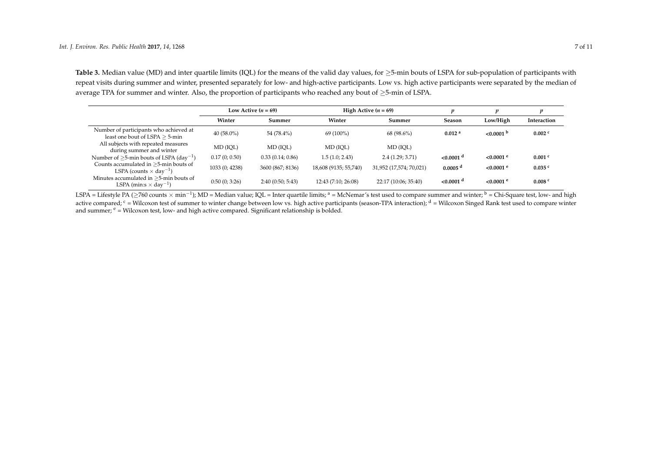**Table 3.** Median value (MD) and inter quartile limits (IQL) for the means of the valid day values, for ≥5-min bouts of LSPA for sub-population of participants with repeat visits during summer and winter, presented separately for low- and high-active participants. Low vs. high active participants were separated by the median of average TPA for summer and winter. Also, the proportion of participants who reached any bout of ≥5-min of LSPA.

|                                                                                          | Low Active $(n = 69)$ |                  | High Active $(n = 69)$ |                         |                         |                         |                      |
|------------------------------------------------------------------------------------------|-----------------------|------------------|------------------------|-------------------------|-------------------------|-------------------------|----------------------|
|                                                                                          | Winter                | Summer           | Winter                 | Summer                  | Season                  | Low/High                | Interaction          |
| Number of participants who achieved at<br>least one bout of LSPA $\geq$ 5-min            | $40(58.0\%)$          | 54 (78.4%)       | $69(100\%)$            | 68 (98.6%)              | 0.012 <sup>a</sup>      | $< 0.0001$ b            | $0.002$ <sup>c</sup> |
| All subjects with repeated measures<br>during summer and winter                          | MD (IOL)              | MD (IOL)         | MD (IOL)               | MD (IOL)                |                         |                         |                      |
| Number of $\geq$ 5-min bouts of LSPA (day <sup>-1</sup> )                                | 0.17(0; 0.50)         | 0.33(0.14; 0.86) | 1.5(1.0; 2.43)         | 2.4(1.29; 3.71)         | $< 0.0001$ <sup>d</sup> | $< 0.0001$ <sup>e</sup> | $0.001$ c            |
| Counts accumulated in $\geq$ 5-min bouts of<br>LSPA (counts $\times$ day <sup>-1</sup> ) | 1033 (0; 4238)        | 3600 (867; 8136) | 18,608 (9135; 55,740)  | 31,952 (17,574; 70,021) | $0.0005$ <sup>d</sup>   | $< 0.0001$ <sup>e</sup> | 0.035c               |
| Minutes accumulated in >5-min bouts of<br>LSPA (min:s $\times$ day <sup>-1</sup> )       | 0:50(0; 3:26)         | 2:40(0:50; 5:43) | 12:43(7:10; 26:08)     | 22:17 (10:06; 35:40)    | $< 0.0001$ <sup>d</sup> | $< 0.0001$ <sup>e</sup> | 0.008 <sup>c</sup>   |

<span id="page-6-0"></span>LSPA = Lifestyle PA (≥760 counts × min<sup>-1</sup>); MD = Median value; IQL = Inter quartile limits; <sup>a</sup> = McNemar's test used to compare summer and winter; <sup>b</sup> = Chi-Square test, low- and high active compared;  $c =$  Wilcoxon test of summer to winter change between low vs. high active participants (season-TPA interaction);  $d =$  Wilcoxon Singed Rank test used to compare winter and summer;  $e =$  Wilcoxon test, low- and high active compared. Significant relationship is bolded.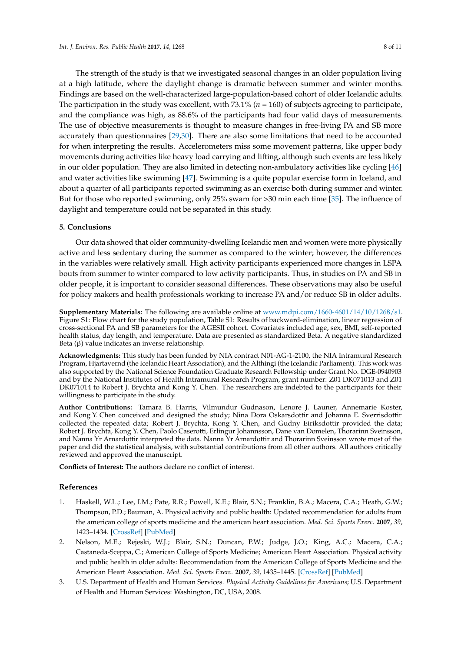The strength of the study is that we investigated seasonal changes in an older population living at a high latitude, where the daylight change is dramatic between summer and winter months. Findings are based on the well-characterized large-population-based cohort of older Icelandic adults. The participation in the study was excellent, with 73.1% (*n* = 160) of subjects agreeing to participate, and the compliance was high, as 88.6% of the participants had four valid days of measurements. The use of objective measurements is thought to measure changes in free-living PA and SB more accurately than questionnaires [\[29,](#page-9-4)[30\]](#page-9-5). There are also some limitations that need to be accounted for when interpreting the results. Accelerometers miss some movement patterns, like upper body movements during activities like heavy load carrying and lifting, although such events are less likely in our older population. They are also limited in detecting non-ambulatory activities like cycling [\[46\]](#page-10-2) and water activities like swimming [\[47\]](#page-10-3). Swimming is a quite popular exercise form in Iceland, and about a quarter of all participants reported swimming as an exercise both during summer and winter. But for those who reported swimming, only 25% swam for >30 min each time [\[35\]](#page-9-10). The influence of daylight and temperature could not be separated in this study.

# **5. Conclusions**

Our data showed that older community-dwelling Icelandic men and women were more physically active and less sedentary during the summer as compared to the winter; however, the differences in the variables were relatively small. High activity participants experienced more changes in LSPA bouts from summer to winter compared to low activity participants. Thus, in studies on PA and SB in older people, it is important to consider seasonal differences. These observations may also be useful for policy makers and health professionals working to increase PA and/or reduce SB in older adults.

**Supplementary Materials:** The following are available online at [www.mdpi.com/1660-4601/14/10/1268/s1.](www.mdpi.com/1660-4601/14/10/1268/s1) Figure S1: Flow chart for the study population, Table S1: Results of backward-elimination, linear regression of cross-sectional PA and SB parameters for the AGESII cohort. Covariates included age, sex, BMI, self-reported health status, day length, and temperature. Data are presented as standardized Beta. A negative standardized Beta (β) value indicates an inverse relationship.

**Acknowledgments:** This study has been funded by NIA contract N01-AG-1-2100, the NIA Intramural Research Program, Hjartavernd (the Icelandic Heart Association), and the Althingi (the Icelandic Parliament). This work was also supported by the National Science Foundation Graduate Research Fellowship under Grant No. DGE-0940903 and by the National Institutes of Health Intramural Research Program, grant number: Z01 DK071013 and Z01 DK071014 to Robert J. Brychta and Kong Y. Chen. The researchers are indebted to the participants for their willingness to participate in the study.

**Author Contributions:** Tamara B. Harris, Vilmundur Gudnason, Lenore J. Launer, Annemarie Koster, and Kong Y. Chen conceived and designed the study; Nina Dora Oskarsdottir and Johanna E. Sverrisdottir collected the repeated data; Robert J. Brychta, Kong Y. Chen, and Gudny Eiriksdottir provided the data; Robert J. Brychta, Kong Y. Chen, Paolo Caserotti, Erlingur Johannsson, Dane van Domelen, Thorarinn Sveinsson, and Nanna Yr Arnardottir interpreted the data. Nanna Yr Arnardottir and Thorarinn Sveinsson wrote most of the paper and did the statistical analysis, with substantial contributions from all other authors. All authors critically reviewed and approved the manuscript.

**Conflicts of Interest:** The authors declare no conflict of interest.

# **References**

- <span id="page-7-0"></span>1. Haskell, W.L.; Lee, I.M.; Pate, R.R.; Powell, K.E.; Blair, S.N.; Franklin, B.A.; Macera, C.A.; Heath, G.W.; Thompson, P.D.; Bauman, A. Physical activity and public health: Updated recommendation for adults from the american college of sports medicine and the american heart association. *Med. Sci. Sports Exerc.* **2007**, *39*, 1423–1434. [\[CrossRef\]](http://dx.doi.org/10.1249/mss.0b013e3180616b27) [\[PubMed\]](http://www.ncbi.nlm.nih.gov/pubmed/17762377)
- <span id="page-7-1"></span>2. Nelson, M.E.; Rejeski, W.J.; Blair, S.N.; Duncan, P.W.; Judge, J.O.; King, A.C.; Macera, C.A.; Castaneda-Sceppa, C.; American College of Sports Medicine; American Heart Association. Physical activity and public health in older adults: Recommendation from the American College of Sports Medicine and the American Heart Association. *Med. Sci. Sports Exerc.* **2007**, *39*, 1435–1445. [\[CrossRef\]](http://dx.doi.org/10.1249/mss.0b013e3180616aa2) [\[PubMed\]](http://www.ncbi.nlm.nih.gov/pubmed/17762378)
- <span id="page-7-2"></span>3. U.S. Department of Health and Human Services. *Physical Activity Guidelines for Americans*; U.S. Department of Health and Human Services: Washington, DC, USA, 2008.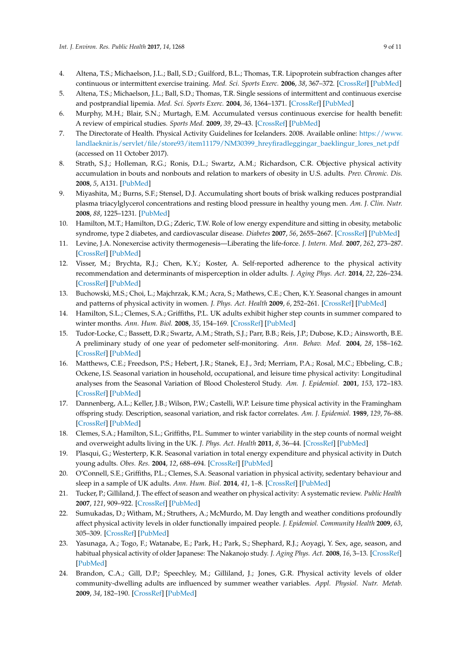- <span id="page-8-0"></span>4. Altena, T.S.; Michaelson, J.L.; Ball, S.D.; Guilford, B.L.; Thomas, T.R. Lipoprotein subfraction changes after continuous or intermittent exercise training. *Med. Sci. Sports Exerc.* **2006**, *38*, 367–372. [\[CrossRef\]](http://dx.doi.org/10.1249/01.mss.0000185088.33669.fd) [\[PubMed\]](http://www.ncbi.nlm.nih.gov/pubmed/16531908)
- 5. Altena, T.S.; Michaelson, J.L.; Ball, S.D.; Thomas, T.R. Single sessions of intermittent and continuous exercise and postprandial lipemia. *Med. Sci. Sports Exerc.* **2004**, *36*, 1364–1371. [\[CrossRef\]](http://dx.doi.org/10.1249/01.MSS.0000135793.43808.6C) [\[PubMed\]](http://www.ncbi.nlm.nih.gov/pubmed/15292745)
- <span id="page-8-1"></span>6. Murphy, M.H.; Blair, S.N.; Murtagh, E.M. Accumulated versus continuous exercise for health benefit: A review of empirical studies. *Sports Med.* **2009**, *39*, 29–43. [\[CrossRef\]](http://dx.doi.org/10.2165/00007256-200939010-00003) [\[PubMed\]](http://www.ncbi.nlm.nih.gov/pubmed/19093694)
- <span id="page-8-2"></span>7. The Directorate of Health. Physical Activity Guidelines for Icelanders. 2008. Available online: [https://www.](https://www.landlaeknir.is/servlet/file/store93/item11179/NM30399_hreyfiradleggingar_baeklingur_lores_net.pdf) [landlaeknir.is/servlet/file/store93/item11179/NM30399\\_hreyfiradleggingar\\_baeklingur\\_lores\\_net.pdf](https://www.landlaeknir.is/servlet/file/store93/item11179/NM30399_hreyfiradleggingar_baeklingur_lores_net.pdf) (accessed on 11 October 2017).
- <span id="page-8-3"></span>8. Strath, S.J.; Holleman, R.G.; Ronis, D.L.; Swartz, A.M.; Richardson, C.R. Objective physical activity accumulation in bouts and nonbouts and relation to markers of obesity in U.S. adults. *Prev. Chronic. Dis.* **2008**, *5*, A131. [\[PubMed\]](http://www.ncbi.nlm.nih.gov/pubmed/18793519)
- <span id="page-8-4"></span>9. Miyashita, M.; Burns, S.F.; Stensel, D.J. Accumulating short bouts of brisk walking reduces postprandial plasma triacylglycerol concentrations and resting blood pressure in healthy young men. *Am. J. Clin. Nutr.* **2008**, *88*, 1225–1231. [\[PubMed\]](http://www.ncbi.nlm.nih.gov/pubmed/18996856)
- <span id="page-8-5"></span>10. Hamilton, M.T.; Hamilton, D.G.; Zderic, T.W. Role of low energy expenditure and sitting in obesity, metabolic syndrome, type 2 diabetes, and cardiovascular disease. *Diabetes* **2007**, *56*, 2655–2667. [\[CrossRef\]](http://dx.doi.org/10.2337/db07-0882) [\[PubMed\]](http://www.ncbi.nlm.nih.gov/pubmed/17827399)
- <span id="page-8-6"></span>11. Levine, J.A. Nonexercise activity thermogenesis—Liberating the life-force. *J. Intern. Med.* **2007**, *262*, 273–287. [\[CrossRef\]](http://dx.doi.org/10.1111/j.1365-2796.2007.01842.x) [\[PubMed\]](http://www.ncbi.nlm.nih.gov/pubmed/17697152)
- <span id="page-8-7"></span>12. Visser, M.; Brychta, R.J.; Chen, K.Y.; Koster, A. Self-reported adherence to the physical activity recommendation and determinants of misperception in older adults. *J. Aging Phys. Act.* **2014**, *22*, 226–234. [\[CrossRef\]](http://dx.doi.org/10.1123/japa.2012-0219) [\[PubMed\]](http://www.ncbi.nlm.nih.gov/pubmed/23752449)
- <span id="page-8-8"></span>13. Buchowski, M.S.; Choi, L.; Majchrzak, K.M.; Acra, S.; Mathews, C.E.; Chen, K.Y. Seasonal changes in amount and patterns of physical activity in women. *J. Phys. Act. Health* **2009**, *6*, 252–261. [\[CrossRef\]](http://dx.doi.org/10.1123/jpah.6.2.252) [\[PubMed\]](http://www.ncbi.nlm.nih.gov/pubmed/19420404)
- <span id="page-8-14"></span>14. Hamilton, S.L.; Clemes, S.A.; Griffiths, P.L. UK adults exhibit higher step counts in summer compared to winter months. *Ann. Hum. Biol.* **2008**, *35*, 154–169. [\[CrossRef\]](http://dx.doi.org/10.1080/03014460801908058) [\[PubMed\]](http://www.ncbi.nlm.nih.gov/pubmed/18428010)
- <span id="page-8-15"></span>15. Tudor-Locke, C.; Bassett, D.R.; Swartz, A.M.; Strath, S.J.; Parr, B.B.; Reis, J.P.; Dubose, K.D.; Ainsworth, B.E. A preliminary study of one year of pedometer self-monitoring. *Ann. Behav. Med.* **2004**, *28*, 158–162. [\[CrossRef\]](http://dx.doi.org/10.1207/s15324796abm2803_3) [\[PubMed\]](http://www.ncbi.nlm.nih.gov/pubmed/15576253)
- <span id="page-8-12"></span>16. Matthews, C.E.; Freedson, P.S.; Hebert, J.R.; Stanek, E.J., 3rd; Merriam, P.A.; Rosal, M.C.; Ebbeling, C.B.; Ockene, I.S. Seasonal variation in household, occupational, and leisure time physical activity: Longitudinal analyses from the Seasonal Variation of Blood Cholesterol Study. *Am. J. Epidemiol.* **2001**, *153*, 172–183. [\[CrossRef\]](http://dx.doi.org/10.1093/aje/153.2.172) [\[PubMed\]](http://www.ncbi.nlm.nih.gov/pubmed/11159163)
- 17. Dannenberg, A.L.; Keller, J.B.; Wilson, P.W.; Castelli, W.P. Leisure time physical activity in the Framingham offspring study. Description, seasonal variation, and risk factor correlates. *Am. J. Epidemiol.* **1989**, *129*, 76–88. [\[CrossRef\]](http://dx.doi.org/10.1093/oxfordjournals.aje.a115126) [\[PubMed\]](http://www.ncbi.nlm.nih.gov/pubmed/2910074)
- 18. Clemes, S.A.; Hamilton, S.L.; Griffiths, P.L. Summer to winter variability in the step counts of normal weight and overweight adults living in the UK. *J. Phys. Act. Health* **2011**, *8*, 36–44. [\[CrossRef\]](http://dx.doi.org/10.1123/jpah.8.1.36) [\[PubMed\]](http://www.ncbi.nlm.nih.gov/pubmed/21297183)
- 19. Plasqui, G.; Westerterp, K.R. Seasonal variation in total energy expenditure and physical activity in Dutch young adults. *Obes. Res.* **2004**, *12*, 688–694. [\[CrossRef\]](http://dx.doi.org/10.1038/oby.2004.80) [\[PubMed\]](http://www.ncbi.nlm.nih.gov/pubmed/15090638)
- <span id="page-8-9"></span>20. O'Connell, S.E.; Griffiths, P.L.; Clemes, S.A. Seasonal variation in physical activity, sedentary behaviour and sleep in a sample of UK adults. *Ann. Hum. Biol.* **2014**, *41*, 1–8. [\[CrossRef\]](http://dx.doi.org/10.3109/03014460.2013.827737) [\[PubMed\]](http://www.ncbi.nlm.nih.gov/pubmed/23992280)
- <span id="page-8-10"></span>21. Tucker, P.; Gilliland, J. The effect of season and weather on physical activity: A systematic review. *Public Health* **2007**, *121*, 909–922. [\[CrossRef\]](http://dx.doi.org/10.1016/j.puhe.2007.04.009) [\[PubMed\]](http://www.ncbi.nlm.nih.gov/pubmed/17920646)
- <span id="page-8-11"></span>22. Sumukadas, D.; Witham, M.; Struthers, A.; McMurdo, M. Day length and weather conditions profoundly affect physical activity levels in older functionally impaired people. *J. Epidemiol. Community Health* **2009**, *63*, 305–309. [\[CrossRef\]](http://dx.doi.org/10.1136/jech.2008.080838) [\[PubMed\]](http://www.ncbi.nlm.nih.gov/pubmed/19074181)
- <span id="page-8-13"></span>23. Yasunaga, A.; Togo, F.; Watanabe, E.; Park, H.; Park, S.; Shephard, R.J.; Aoyagi, Y. Sex, age, season, and habitual physical activity of older Japanese: The Nakanojo study. *J. Aging Phys. Act.* **2008**, *16*, 3–13. [\[CrossRef\]](http://dx.doi.org/10.1123/japa.16.1.3) [\[PubMed\]](http://www.ncbi.nlm.nih.gov/pubmed/18212390)
- 24. Brandon, C.A.; Gill, D.P.; Speechley, M.; Gilliland, J.; Jones, G.R. Physical activity levels of older community-dwelling adults are influenced by summer weather variables. *Appl. Physiol. Nutr. Metab.* **2009**, *34*, 182–190. [\[CrossRef\]](http://dx.doi.org/10.1139/H09-004) [\[PubMed\]](http://www.ncbi.nlm.nih.gov/pubmed/19370048)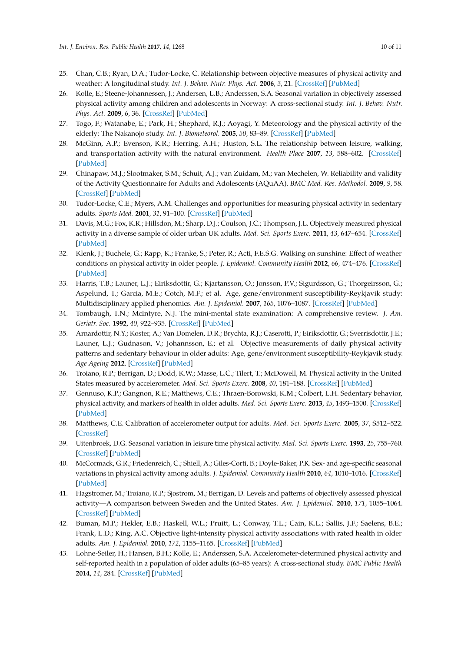- <span id="page-9-0"></span>25. Chan, C.B.; Ryan, D.A.; Tudor-Locke, C. Relationship between objective measures of physical activity and weather: A longitudinal study. *Int. J. Behav. Nutr. Phys. Act.* **2006**, *3*, 21. [\[CrossRef\]](http://dx.doi.org/10.1186/1479-5868-3-21) [\[PubMed\]](http://www.ncbi.nlm.nih.gov/pubmed/16893452)
- <span id="page-9-1"></span>26. Kolle, E.; Steene-Johannessen, J.; Andersen, L.B.; Anderssen, S.A. Seasonal variation in objectively assessed physical activity among children and adolescents in Norway: A cross-sectional study. *Int. J. Behav. Nutr. Phys. Act.* **2009**, *6*, 36. [\[CrossRef\]](http://dx.doi.org/10.1186/1479-5868-6-36) [\[PubMed\]](http://www.ncbi.nlm.nih.gov/pubmed/19563650)
- <span id="page-9-2"></span>27. Togo, F.; Watanabe, E.; Park, H.; Shephard, R.J.; Aoyagi, Y. Meteorology and the physical activity of the elderly: The Nakanojo study. *Int. J. Biometeorol.* **2005**, *50*, 83–89. [\[CrossRef\]](http://dx.doi.org/10.1007/s00484-005-0277-z) [\[PubMed\]](http://www.ncbi.nlm.nih.gov/pubmed/16044348)
- <span id="page-9-3"></span>28. McGinn, A.P.; Evenson, K.R.; Herring, A.H.; Huston, S.L. The relationship between leisure, walking, and transportation activity with the natural environment. *Health Place* **2007**, *13*, 588–602. [\[CrossRef\]](http://dx.doi.org/10.1016/j.healthplace.2006.07.002) [\[PubMed\]](http://www.ncbi.nlm.nih.gov/pubmed/16935020)
- <span id="page-9-4"></span>29. Chinapaw, M.J.; Slootmaker, S.M.; Schuit, A.J.; van Zuidam, M.; van Mechelen, W. Reliability and validity of the Activity Questionnaire for Adults and Adolescents (AQuAA). *BMC Med. Res. Methodol.* **2009**, *9*, 58. [\[CrossRef\]](http://dx.doi.org/10.1186/1471-2288-9-58) [\[PubMed\]](http://www.ncbi.nlm.nih.gov/pubmed/19664254)
- <span id="page-9-5"></span>30. Tudor-Locke, C.E.; Myers, A.M. Challenges and opportunities for measuring physical activity in sedentary adults. *Sports Med.* **2001**, *31*, 91–100. [\[CrossRef\]](http://dx.doi.org/10.2165/00007256-200131020-00002) [\[PubMed\]](http://www.ncbi.nlm.nih.gov/pubmed/11227981)
- <span id="page-9-6"></span>31. Davis, M.G.; Fox, K.R.; Hillsdon, M.; Sharp, D.J.; Coulson, J.C.; Thompson, J.L. Objectively measured physical activity in a diverse sample of older urban UK adults. *Med. Sci. Sports Exerc.* **2011**, *43*, 647–654. [\[CrossRef\]](http://dx.doi.org/10.1249/MSS.0b013e3181f36196) [\[PubMed\]](http://www.ncbi.nlm.nih.gov/pubmed/20689449)
- <span id="page-9-7"></span>32. Klenk, J.; Buchele, G.; Rapp, K.; Franke, S.; Peter, R.; Acti, F.E.S.G. Walking on sunshine: Effect of weather conditions on physical activity in older people. *J. Epidemiol. Community Health* **2012**, *66*, 474–476. [\[CrossRef\]](http://dx.doi.org/10.1136/jech.2010.128090) [\[PubMed\]](http://www.ncbi.nlm.nih.gov/pubmed/21325149)
- <span id="page-9-8"></span>33. Harris, T.B.; Launer, L.J.; Eiriksdottir, G.; Kjartansson, O.; Jonsson, P.V.; Sigurdsson, G.; Thorgeirsson, G.; Aspelund, T.; Garcia, M.E.; Cotch, M.F.; et al. Age, gene/environment susceptibility-Reykjavik study: Multidisciplinary applied phenomics. *Am. J. Epidemiol.* **2007**, *165*, 1076–1087. [\[CrossRef\]](http://dx.doi.org/10.1093/aje/kwk115) [\[PubMed\]](http://www.ncbi.nlm.nih.gov/pubmed/17351290)
- <span id="page-9-9"></span>34. Tombaugh, T.N.; McIntyre, N.J. The mini-mental state examination: A comprehensive review. *J. Am. Geriatr. Soc.* **1992**, *40*, 922–935. [\[CrossRef\]](http://dx.doi.org/10.1111/j.1532-5415.1992.tb01992.x) [\[PubMed\]](http://www.ncbi.nlm.nih.gov/pubmed/1512391)
- <span id="page-9-10"></span>35. Arnardottir, N.Y.; Koster, A.; Van Domelen, D.R.; Brychta, R.J.; Caserotti, P.; Eiriksdottir, G.; Sverrisdottir, J.E.; Launer, L.J.; Gudnason, V.; Johannsson, E.; et al. Objective measurements of daily physical activity patterns and sedentary behaviour in older adults: Age, gene/environment susceptibility-Reykjavik study. *Age Ageing* **2012**. [\[CrossRef\]](http://dx.doi.org/10.1093/ageing/afs160) [\[PubMed\]](http://www.ncbi.nlm.nih.gov/pubmed/23117467)
- <span id="page-9-11"></span>36. Troiano, R.P.; Berrigan, D.; Dodd, K.W.; Masse, L.C.; Tilert, T.; McDowell, M. Physical activity in the United States measured by accelerometer. *Med. Sci. Sports Exerc.* **2008**, *40*, 181–188. [\[CrossRef\]](http://dx.doi.org/10.1249/mss.0b013e31815a51b3) [\[PubMed\]](http://www.ncbi.nlm.nih.gov/pubmed/18091006)
- <span id="page-9-12"></span>37. Gennuso, K.P.; Gangnon, R.E.; Matthews, C.E.; Thraen-Borowski, K.M.; Colbert, L.H. Sedentary behavior, physical activity, and markers of health in older adults. *Med. Sci. Sports Exerc.* **2013**, *45*, 1493–1500. [\[CrossRef\]](http://dx.doi.org/10.1249/MSS.0b013e318288a1e5) [\[PubMed\]](http://www.ncbi.nlm.nih.gov/pubmed/23475142)
- <span id="page-9-13"></span>38. Matthews, C.E. Calibration of accelerometer output for adults. *Med. Sci. Sports Exerc.* **2005**, *37*, S512–522. [\[CrossRef\]](http://dx.doi.org/10.1249/01.mss.0000185659.11982.3d)
- <span id="page-9-14"></span>39. Uitenbroek, D.G. Seasonal variation in leisure time physical activity. *Med. Sci. Sports Exerc.* **1993**, *25*, 755–760. [\[CrossRef\]](http://dx.doi.org/10.1249/00005768-199306000-00017) [\[PubMed\]](http://www.ncbi.nlm.nih.gov/pubmed/8321115)
- <span id="page-9-15"></span>40. McCormack, G.R.; Friedenreich, C.; Shiell, A.; Giles-Corti, B.; Doyle-Baker, P.K. Sex- and age-specific seasonal variations in physical activity among adults. *J. Epidemiol. Community Health* **2010**, *64*, 1010–1016. [\[CrossRef\]](http://dx.doi.org/10.1136/jech.2009.092841) [\[PubMed\]](http://www.ncbi.nlm.nih.gov/pubmed/19843499)
- <span id="page-9-16"></span>41. Hagstromer, M.; Troiano, R.P.; Sjostrom, M.; Berrigan, D. Levels and patterns of objectively assessed physical activity—A comparison between Sweden and the United States. *Am. J. Epidemiol.* **2010**, *171*, 1055–1064. [\[CrossRef\]](http://dx.doi.org/10.1093/aje/kwq069) [\[PubMed\]](http://www.ncbi.nlm.nih.gov/pubmed/20406758)
- <span id="page-9-17"></span>42. Buman, M.P.; Hekler, E.B.; Haskell, W.L.; Pruitt, L.; Conway, T.L.; Cain, K.L.; Sallis, J.F.; Saelens, B.E.; Frank, L.D.; King, A.C. Objective light-intensity physical activity associations with rated health in older adults. *Am. J. Epidemiol.* **2010**, *172*, 1155–1165. [\[CrossRef\]](http://dx.doi.org/10.1093/aje/kwq249) [\[PubMed\]](http://www.ncbi.nlm.nih.gov/pubmed/20843864)
- <span id="page-9-18"></span>43. Lohne-Seiler, H.; Hansen, B.H.; Kolle, E.; Anderssen, S.A. Accelerometer-determined physical activity and self-reported health in a population of older adults (65–85 years): A cross-sectional study. *BMC Public Health* **2014**, *14*, 284. [\[CrossRef\]](http://dx.doi.org/10.1186/1471-2458-14-284) [\[PubMed\]](http://www.ncbi.nlm.nih.gov/pubmed/24673834)